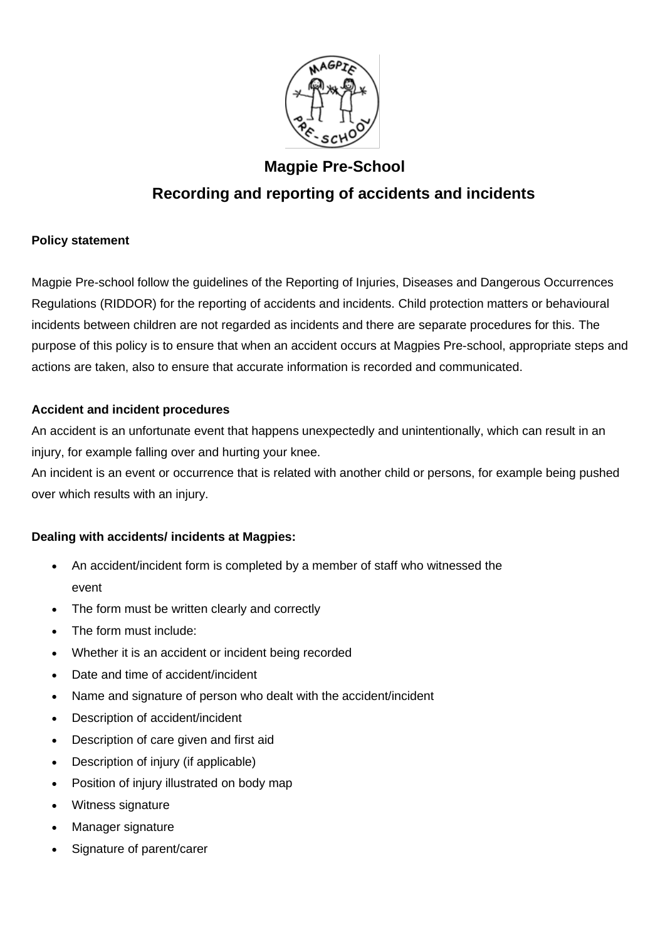

# **Magpie Pre-School Recording and reporting of accidents and incidents**

# **Policy statement**

Magpie Pre-school follow the guidelines of the Reporting of Injuries, Diseases and Dangerous Occurrences Regulations (RIDDOR) for the reporting of accidents and incidents. Child protection matters or behavioural incidents between children are not regarded as incidents and there are separate procedures for this. The purpose of this policy is to ensure that when an accident occurs at Magpies Pre-school, appropriate steps and actions are taken, also to ensure that accurate information is recorded and communicated.

# **Accident and incident procedures**

An accident is an unfortunate event that happens unexpectedly and unintentionally, which can result in an injury, for example falling over and hurting your knee.

An incident is an event or occurrence that is related with another child or persons, for example being pushed over which results with an injury.

# **Dealing with accidents/ incidents at Magpies:**

- An accident/incident form is completed by a member of staff who witnessed the event
- The form must be written clearly and correctly
- The form must include:
- Whether it is an accident or incident being recorded
- Date and time of accident/incident
- Name and signature of person who dealt with the accident/incident
- Description of accident/incident
- Description of care given and first aid
- Description of injury (if applicable)
- Position of injury illustrated on body map
- Witness signature
- Manager signature
- Signature of parent/carer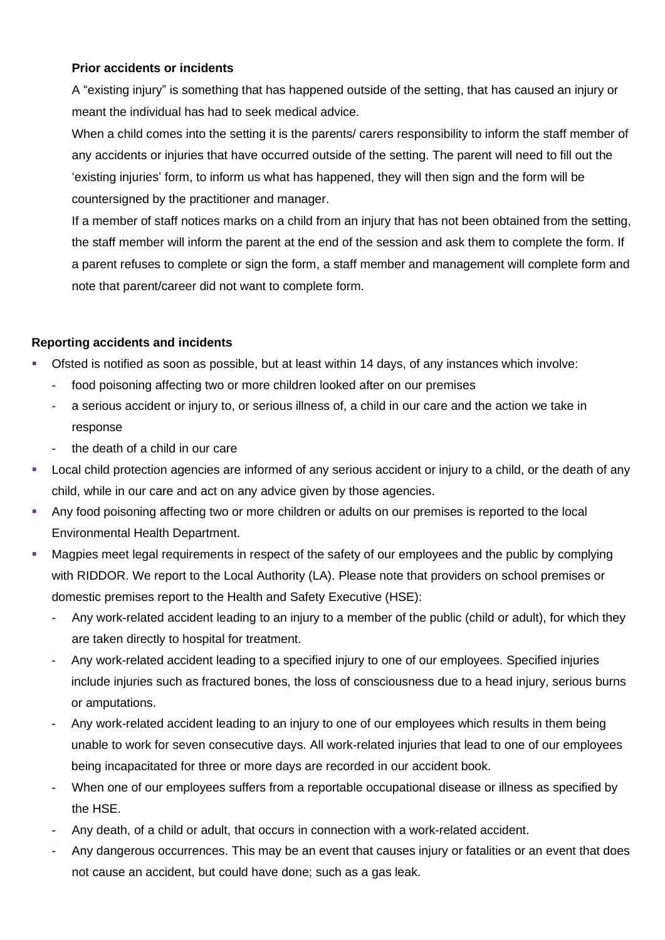## **Prior accidents or incidents**

A "existing injury" is something that has happened outside of the setting, that has caused an injury or meant the individual has had to seek medical advice.

When a child comes into the setting it is the parents/ carers responsibility to inform the staff member of any accidents or injuries that have occurred outside of the setting. The parent will need to fill out the 'existing injuries' form, to inform us what has happened, they will then sign and the form will be countersigned by the practitioner and manager.

If a member of staff notices marks on a child from an injury that has not been obtained from the setting, the staff member will inform the parent at the end of the session and ask them to complete the form. If a parent refuses to complete or sign the form, a staff member and management will complete form and note that parent/career did not want to complete form.

#### **Reporting accidents and incidents**

- Ofsted is notified as soon as possible, but at least within 14 days, of any instances which involve:
	- **-** food poisoning affecting two or more children looked after on our premises
	- **-** a serious accident or injury to, or serious illness of, a child in our care and the action we take in response
	- **-** the death of a child in our care
- **EXECT** Local child protection agencies are informed of any serious accident or injury to a child, or the death of any child, while in our care and act on any advice given by those agencies.
- Any food poisoning affecting two or more children or adults on our premises is reported to the local Environmental Health Department.
- Magpies meet legal requirements in respect of the safety of our employees and the public by complying with RIDDOR. We report to the Local Authority (LA). Please note that providers on school premises or domestic premises report to the Health and Safety Executive (HSE):
	- **-** Any work-related accident leading to an injury to a member of the public (child or adult), for which they are taken directly to hospital for treatment.
	- **-** Any work-related accident leading to a specified injury to one of our employees. Specified injuries include injuries such as fractured bones, the loss of consciousness due to a head injury, serious burns or amputations.
	- **-** Any work-related accident leading to an injury to one of our employees which results in them being unable to work for seven consecutive days. All work-related injuries that lead to one of our employees being incapacitated for three or more days are recorded in our accident book.
	- **-** When one of our employees suffers from a reportable occupational disease or illness as specified by the HSE.
	- **-** Any death, of a child or adult, that occurs in connection with a work-related accident.
	- **-** Any dangerous occurrences. This may be an event that causes injury or fatalities or an event that does not cause an accident, but could have done; such as a gas leak.